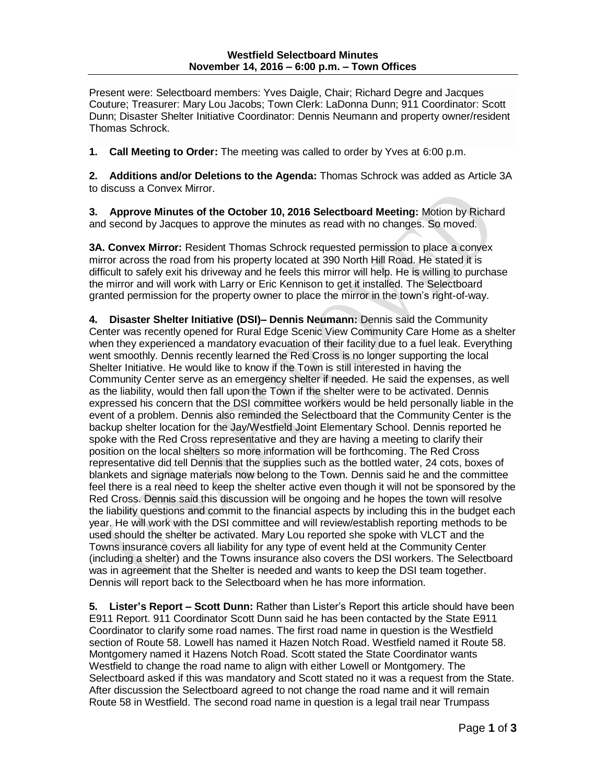Present were: Selectboard members: Yves Daigle, Chair; Richard Degre and Jacques Couture; Treasurer: Mary Lou Jacobs; Town Clerk: LaDonna Dunn; 911 Coordinator: Scott Dunn; Disaster Shelter Initiative Coordinator: Dennis Neumann and property owner/resident Thomas Schrock.

**1. Call Meeting to Order:** The meeting was called to order by Yves at 6:00 p.m.

**2. Additions and/or Deletions to the Agenda:** Thomas Schrock was added as Article 3A to discuss a Convex Mirror.

**3. Approve Minutes of the October 10, 2016 Selectboard Meeting:** Motion by Richard and second by Jacques to approve the minutes as read with no changes. So moved.

**3A. Convex Mirror:** Resident Thomas Schrock requested permission to place a convex mirror across the road from his property located at 390 North Hill Road. He stated it is difficult to safely exit his driveway and he feels this mirror will help. He is willing to purchase the mirror and will work with Larry or Eric Kennison to get it installed. The Selectboard granted permission for the property owner to place the mirror in the town's right-of-way.

**4. Disaster Shelter Initiative (DSI)– Dennis Neumann:** Dennis said the Community Center was recently opened for Rural Edge Scenic View Community Care Home as a shelter when they experienced a mandatory evacuation of their facility due to a fuel leak. Everything went smoothly. Dennis recently learned the Red Cross is no longer supporting the local Shelter Initiative. He would like to know if the Town is still interested in having the Community Center serve as an emergency shelter if needed. He said the expenses, as well as the liability, would then fall upon the Town if the shelter were to be activated. Dennis expressed his concern that the DSI committee workers would be held personally liable in the event of a problem. Dennis also reminded the Selectboard that the Community Center is the backup shelter location for the Jay/Westfield Joint Elementary School. Dennis reported he spoke with the Red Cross representative and they are having a meeting to clarify their position on the local shelters so more information will be forthcoming. The Red Cross representative did tell Dennis that the supplies such as the bottled water, 24 cots, boxes of blankets and signage materials now belong to the Town. Dennis said he and the committee feel there is a real need to keep the shelter active even though it will not be sponsored by the Red Cross. Dennis said this discussion will be ongoing and he hopes the town will resolve the liability questions and commit to the financial aspects by including this in the budget each year. He will work with the DSI committee and will review/establish reporting methods to be used should the shelter be activated. Mary Lou reported she spoke with VLCT and the Towns insurance covers all liability for any type of event held at the Community Center (including a shelter) and the Towns insurance also covers the DSI workers. The Selectboard was in agreement that the Shelter is needed and wants to keep the DSI team together. Dennis will report back to the Selectboard when he has more information.

**5. Lister's Report – Scott Dunn:** Rather than Lister's Report this article should have been E911 Report. 911 Coordinator Scott Dunn said he has been contacted by the State E911 Coordinator to clarify some road names. The first road name in question is the Westfield section of Route 58. Lowell has named it Hazen Notch Road. Westfield named it Route 58. Montgomery named it Hazens Notch Road. Scott stated the State Coordinator wants Westfield to change the road name to align with either Lowell or Montgomery. The Selectboard asked if this was mandatory and Scott stated no it was a request from the State. After discussion the Selectboard agreed to not change the road name and it will remain Route 58 in Westfield. The second road name in question is a legal trail near Trumpass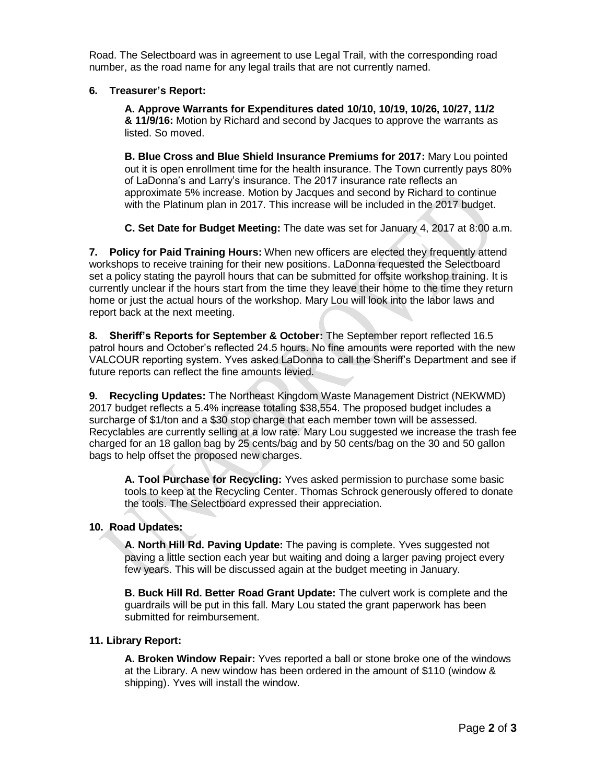Road. The Selectboard was in agreement to use Legal Trail, with the corresponding road number, as the road name for any legal trails that are not currently named.

## **6. Treasurer's Report:**

**A. Approve Warrants for Expenditures dated 10/10, 10/19, 10/26, 10/27, 11/2 & 11/9/16:** Motion by Richard and second by Jacques to approve the warrants as listed. So moved.

**B. Blue Cross and Blue Shield Insurance Premiums for 2017:** Mary Lou pointed out it is open enrollment time for the health insurance. The Town currently pays 80% of LaDonna's and Larry's insurance. The 2017 insurance rate reflects an approximate 5% increase. Motion by Jacques and second by Richard to continue with the Platinum plan in 2017. This increase will be included in the 2017 budget.

**C. Set Date for Budget Meeting:** The date was set for January 4, 2017 at 8:00 a.m.

**7. Policy for Paid Training Hours:** When new officers are elected they frequently attend workshops to receive training for their new positions. LaDonna requested the Selectboard set a policy stating the payroll hours that can be submitted for offsite workshop training. It is currently unclear if the hours start from the time they leave their home to the time they return home or just the actual hours of the workshop. Mary Lou will look into the labor laws and report back at the next meeting.

**8. Sheriff's Reports for September & October:** The September report reflected 16.5 patrol hours and October's reflected 24.5 hours. No fine amounts were reported with the new VALCOUR reporting system. Yves asked LaDonna to call the Sheriff's Department and see if future reports can reflect the fine amounts levied.

**9. Recycling Updates:** The Northeast Kingdom Waste Management District (NEKWMD) 2017 budget reflects a 5.4% increase totaling \$38,554. The proposed budget includes a surcharge of \$1/ton and a \$30 stop charge that each member town will be assessed. Recyclables are currently selling at a low rate. Mary Lou suggested we increase the trash fee charged for an 18 gallon bag by 25 cents/bag and by 50 cents/bag on the 30 and 50 gallon bags to help offset the proposed new charges.

**A. Tool Purchase for Recycling:** Yves asked permission to purchase some basic tools to keep at the Recycling Center. Thomas Schrock generously offered to donate the tools. The Selectboard expressed their appreciation.

## **10. Road Updates:**

**A. North Hill Rd. Paving Update:** The paving is complete. Yves suggested not paving a little section each year but waiting and doing a larger paving project every few years. This will be discussed again at the budget meeting in January.

**B. Buck Hill Rd. Better Road Grant Update:** The culvert work is complete and the guardrails will be put in this fall. Mary Lou stated the grant paperwork has been submitted for reimbursement.

## **11. Library Report:**

**A. Broken Window Repair:** Yves reported a ball or stone broke one of the windows at the Library. A new window has been ordered in the amount of \$110 (window & shipping). Yves will install the window.